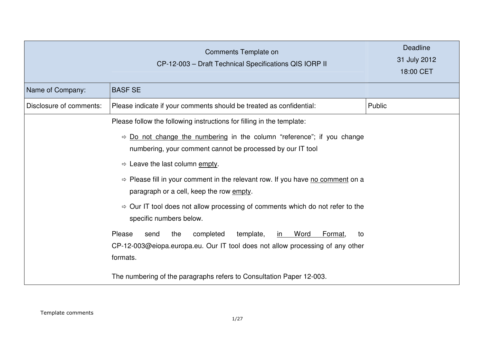|                         | Comments Template on<br>CP-12-003 - Draft Technical Specifications QIS IORP II                                                                                                | <b>Deadline</b><br>31 July 2012<br>18:00 CET |
|-------------------------|-------------------------------------------------------------------------------------------------------------------------------------------------------------------------------|----------------------------------------------|
| Name of Company:        | <b>BASF SE</b>                                                                                                                                                                |                                              |
| Disclosure of comments: | Please indicate if your comments should be treated as confidential:                                                                                                           | Public                                       |
|                         | Please follow the following instructions for filling in the template:                                                                                                         |                                              |
|                         | $\Rightarrow$ Do not change the numbering in the column "reference"; if you change<br>numbering, your comment cannot be processed by our IT tool                              |                                              |
|                         | $\Rightarrow$ Leave the last column empty.                                                                                                                                    |                                              |
|                         | $\Rightarrow$ Please fill in your comment in the relevant row. If you have no comment on a<br>paragraph or a cell, keep the row empty.                                        |                                              |
|                         | $\Rightarrow$ Our IT tool does not allow processing of comments which do not refer to the<br>specific numbers below.                                                          |                                              |
|                         | Please<br>the<br>completed<br>template,<br>Word<br>Format,<br>send<br>in l<br>to<br>CP-12-003@eiopa.europa.eu. Our IT tool does not allow processing of any other<br>formats. |                                              |
|                         | The numbering of the paragraphs refers to Consultation Paper 12-003.                                                                                                          |                                              |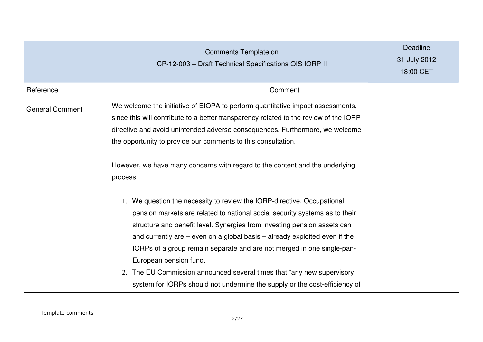|                        | Comments Template on<br>CP-12-003 - Draft Technical Specifications QIS IORP II                                                                                                                                                                                                                                                                                                                                                                                                                                                                                                      | Deadline<br>31 July 2012<br>18:00 CET |
|------------------------|-------------------------------------------------------------------------------------------------------------------------------------------------------------------------------------------------------------------------------------------------------------------------------------------------------------------------------------------------------------------------------------------------------------------------------------------------------------------------------------------------------------------------------------------------------------------------------------|---------------------------------------|
| Reference              | Comment                                                                                                                                                                                                                                                                                                                                                                                                                                                                                                                                                                             |                                       |
| <b>General Comment</b> | We welcome the initiative of EIOPA to perform quantitative impact assessments,<br>since this will contribute to a better transparency related to the review of the IORP<br>directive and avoid unintended adverse consequences. Furthermore, we welcome<br>the opportunity to provide our comments to this consultation.<br>However, we have many concerns with regard to the content and the underlying<br>process:                                                                                                                                                                |                                       |
|                        | 1. We question the necessity to review the IORP-directive. Occupational<br>pension markets are related to national social security systems as to their<br>structure and benefit level. Synergies from investing pension assets can<br>and currently are $-$ even on a global basis $-$ already exploited even if the<br>IORPs of a group remain separate and are not merged in one single-pan-<br>European pension fund.<br>The EU Commission announced several times that "any new supervisory<br>2.<br>system for IORPs should not undermine the supply or the cost-efficiency of |                                       |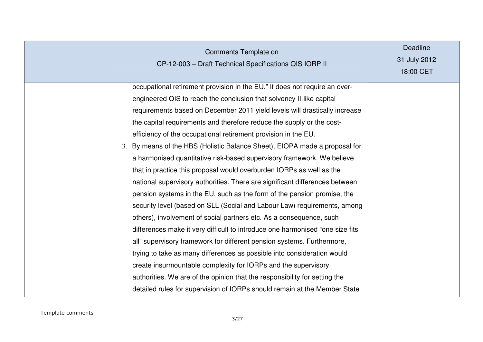| Comments Template on<br>CP-12-003 - Draft Technical Specifications QIS IORP II                                                                                                                                                                                                                                                                                                                                                                                                                                                                                                                                                                                                                                                                                                                                                                                                                                                                                                                                                                                                                                                                                                                                                                                                                                                                                                              | <b>Deadline</b><br>31 July 2012<br>18:00 CET |
|---------------------------------------------------------------------------------------------------------------------------------------------------------------------------------------------------------------------------------------------------------------------------------------------------------------------------------------------------------------------------------------------------------------------------------------------------------------------------------------------------------------------------------------------------------------------------------------------------------------------------------------------------------------------------------------------------------------------------------------------------------------------------------------------------------------------------------------------------------------------------------------------------------------------------------------------------------------------------------------------------------------------------------------------------------------------------------------------------------------------------------------------------------------------------------------------------------------------------------------------------------------------------------------------------------------------------------------------------------------------------------------------|----------------------------------------------|
| occupational retirement provision in the EU." It does not require an over-<br>engineered QIS to reach the conclusion that solvency II-like capital<br>requirements based on December 2011 yield levels will drastically increase<br>the capital requirements and therefore reduce the supply or the cost-<br>efficiency of the occupational retirement provision in the EU.<br>3. By means of the HBS (Holistic Balance Sheet), EIOPA made a proposal for<br>a harmonised quantitative risk-based supervisory framework. We believe<br>that in practice this proposal would overburden IORPs as well as the<br>national supervisory authorities. There are significant differences between<br>pension systems in the EU, such as the form of the pension promise, the<br>security level (based on SLL (Social and Labour Law) requirements, among<br>others), involvement of social partners etc. As a consequence, such<br>differences make it very difficult to introduce one harmonised "one size fits<br>all" supervisory framework for different pension systems. Furthermore,<br>trying to take as many differences as possible into consideration would<br>create insurmountable complexity for IORPs and the supervisory<br>authorities. We are of the opinion that the responsibility for setting the<br>detailed rules for supervision of IORPs should remain at the Member State |                                              |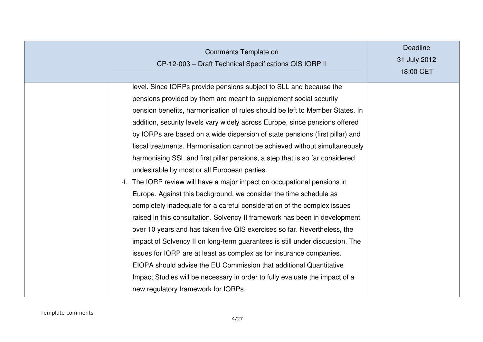| Comments Template on<br>CP-12-003 - Draft Technical Specifications QIS IORP II                                                                                                                                                                                                                                                                                                                                                                                                                                                                                                                                                                                                                                                                                                                                                                                                                                                                                                                                                                                                                                                                                                                                                                                                                                                              | <b>Deadline</b><br>31 July 2012<br>18:00 CET |
|---------------------------------------------------------------------------------------------------------------------------------------------------------------------------------------------------------------------------------------------------------------------------------------------------------------------------------------------------------------------------------------------------------------------------------------------------------------------------------------------------------------------------------------------------------------------------------------------------------------------------------------------------------------------------------------------------------------------------------------------------------------------------------------------------------------------------------------------------------------------------------------------------------------------------------------------------------------------------------------------------------------------------------------------------------------------------------------------------------------------------------------------------------------------------------------------------------------------------------------------------------------------------------------------------------------------------------------------|----------------------------------------------|
| level. Since IORPs provide pensions subject to SLL and because the<br>pensions provided by them are meant to supplement social security<br>pension benefits, harmonisation of rules should be left to Member States. In<br>addition, security levels vary widely across Europe, since pensions offered<br>by IORPs are based on a wide dispersion of state pensions (first pillar) and<br>fiscal treatments. Harmonisation cannot be achieved without simultaneously<br>harmonising SSL and first pillar pensions, a step that is so far considered<br>undesirable by most or all European parties.<br>4. The IORP review will have a major impact on occupational pensions in<br>Europe. Against this background, we consider the time schedule as<br>completely inadequate for a careful consideration of the complex issues<br>raised in this consultation. Solvency II framework has been in development<br>over 10 years and has taken five QIS exercises so far. Nevertheless, the<br>impact of Solvency II on long-term guarantees is still under discussion. The<br>issues for IORP are at least as complex as for insurance companies.<br>EIOPA should advise the EU Commission that additional Quantitative<br>Impact Studies will be necessary in order to fully evaluate the impact of a<br>new regulatory framework for IORPs. |                                              |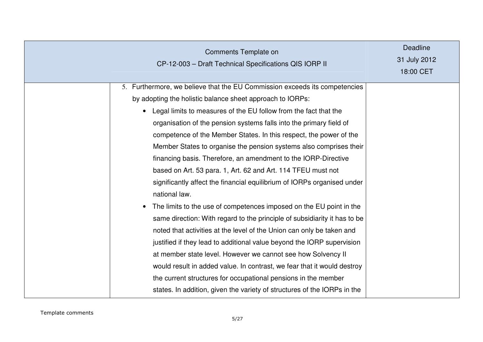| Comments Template on<br>CP-12-003 - Draft Technical Specifications QIS IORP II                                                                                                                                                                                                                                                                                                                                                                                                                                                                                                                                                                                                                                                                                                                                                                                                                                                                                                                                                                                                                                                                                                                                                                                                         | <b>Deadline</b><br>31 July 2012<br>18:00 CET |
|----------------------------------------------------------------------------------------------------------------------------------------------------------------------------------------------------------------------------------------------------------------------------------------------------------------------------------------------------------------------------------------------------------------------------------------------------------------------------------------------------------------------------------------------------------------------------------------------------------------------------------------------------------------------------------------------------------------------------------------------------------------------------------------------------------------------------------------------------------------------------------------------------------------------------------------------------------------------------------------------------------------------------------------------------------------------------------------------------------------------------------------------------------------------------------------------------------------------------------------------------------------------------------------|----------------------------------------------|
| 5. Furthermore, we believe that the EU Commission exceeds its competencies<br>by adopting the holistic balance sheet approach to IORPs:<br>Legal limits to measures of the EU follow from the fact that the<br>$\bullet$<br>organisation of the pension systems falls into the primary field of<br>competence of the Member States. In this respect, the power of the<br>Member States to organise the pension systems also comprises their<br>financing basis. Therefore, an amendment to the IORP-Directive<br>based on Art. 53 para. 1, Art. 62 and Art. 114 TFEU must not<br>significantly affect the financial equilibrium of IORPs organised under<br>national law.<br>The limits to the use of competences imposed on the EU point in the<br>$\bullet$<br>same direction: With regard to the principle of subsidiarity it has to be<br>noted that activities at the level of the Union can only be taken and<br>justified if they lead to additional value beyond the IORP supervision<br>at member state level. However we cannot see how Solvency II<br>would result in added value. In contrast, we fear that it would destroy<br>the current structures for occupational pensions in the member<br>states. In addition, given the variety of structures of the IORPs in the |                                              |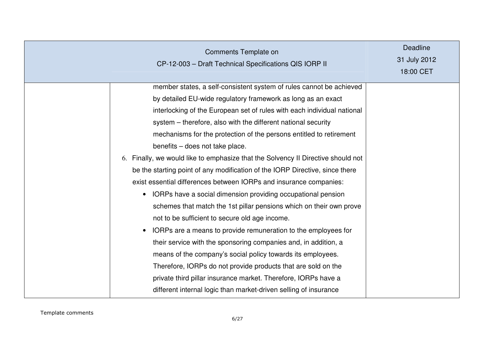| Comments Template on<br>CP-12-003 - Draft Technical Specifications QIS IORP II                                                                                                                                                                                                                                                                                                                                                                                                                                                                                                                                                                                                                                                                                                                                                                                                                                                                                                                                                                                                                                                                                                                                                          | <b>Deadline</b><br>31 July 2012<br>18:00 CET |
|-----------------------------------------------------------------------------------------------------------------------------------------------------------------------------------------------------------------------------------------------------------------------------------------------------------------------------------------------------------------------------------------------------------------------------------------------------------------------------------------------------------------------------------------------------------------------------------------------------------------------------------------------------------------------------------------------------------------------------------------------------------------------------------------------------------------------------------------------------------------------------------------------------------------------------------------------------------------------------------------------------------------------------------------------------------------------------------------------------------------------------------------------------------------------------------------------------------------------------------------|----------------------------------------------|
| member states, a self-consistent system of rules cannot be achieved<br>by detailed EU-wide regulatory framework as long as an exact<br>interlocking of the European set of rules with each individual national<br>system – therefore, also with the different national security<br>mechanisms for the protection of the persons entitled to retirement<br>benefits - does not take place.<br>6. Finally, we would like to emphasize that the Solvency II Directive should not<br>be the starting point of any modification of the IORP Directive, since there<br>exist essential differences between IORPs and insurance companies:<br>IORPs have a social dimension providing occupational pension<br>schemes that match the 1st pillar pensions which on their own prove<br>not to be sufficient to secure old age income.<br>IORPs are a means to provide remuneration to the employees for<br>their service with the sponsoring companies and, in addition, a<br>means of the company's social policy towards its employees.<br>Therefore, IORPs do not provide products that are sold on the<br>private third pillar insurance market. Therefore, IORPs have a<br>different internal logic than market-driven selling of insurance |                                              |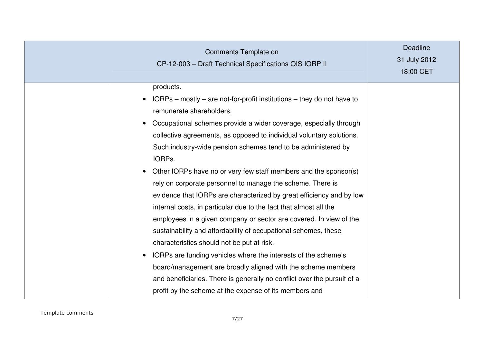| Comments Template on<br>CP-12-003 - Draft Technical Specifications QIS IORP II                                                                                                                                                                                                                                                                                                                                                                                                                                                                                                                                                                                                                                                                                                                                                                                                                                                                                                                                                                                                                                                             | <b>Deadline</b><br>31 July 2012<br>18:00 CET |
|--------------------------------------------------------------------------------------------------------------------------------------------------------------------------------------------------------------------------------------------------------------------------------------------------------------------------------------------------------------------------------------------------------------------------------------------------------------------------------------------------------------------------------------------------------------------------------------------------------------------------------------------------------------------------------------------------------------------------------------------------------------------------------------------------------------------------------------------------------------------------------------------------------------------------------------------------------------------------------------------------------------------------------------------------------------------------------------------------------------------------------------------|----------------------------------------------|
| products.<br>$IORPs$ – mostly – are not-for-profit institutions – they do not have to<br>$\bullet$<br>remunerate shareholders,<br>Occupational schemes provide a wider coverage, especially through<br>$\bullet$<br>collective agreements, as opposed to individual voluntary solutions.<br>Such industry-wide pension schemes tend to be administered by<br>IORPs.<br>Other IORPs have no or very few staff members and the sponsor(s)<br>$\bullet$<br>rely on corporate personnel to manage the scheme. There is<br>evidence that IORPs are characterized by great efficiency and by low<br>internal costs, in particular due to the fact that almost all the<br>employees in a given company or sector are covered. In view of the<br>sustainability and affordability of occupational schemes, these<br>characteristics should not be put at risk.<br>IORPs are funding vehicles where the interests of the scheme's<br>$\bullet$<br>board/management are broadly aligned with the scheme members<br>and beneficiaries. There is generally no conflict over the pursuit of a<br>profit by the scheme at the expense of its members and |                                              |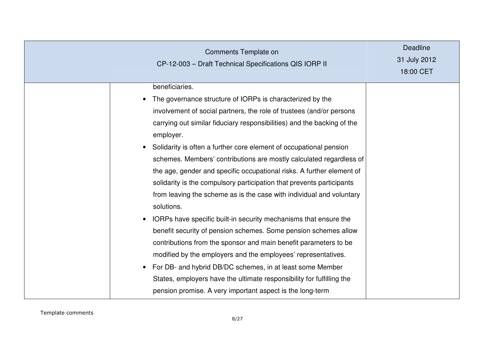| <b>Comments Template on</b><br>CP-12-003 - Draft Technical Specifications QIS IORP II                                                                                                                                                                                                                                                                                                                                                                                                                                                                                                                                                                                                                                                                                                                                                                                                                                                                                                                                                                                                                                                                               | <b>Deadline</b><br>31 July 2012<br>18:00 CET |
|---------------------------------------------------------------------------------------------------------------------------------------------------------------------------------------------------------------------------------------------------------------------------------------------------------------------------------------------------------------------------------------------------------------------------------------------------------------------------------------------------------------------------------------------------------------------------------------------------------------------------------------------------------------------------------------------------------------------------------------------------------------------------------------------------------------------------------------------------------------------------------------------------------------------------------------------------------------------------------------------------------------------------------------------------------------------------------------------------------------------------------------------------------------------|----------------------------------------------|
| beneficiaries.<br>The governance structure of IORPs is characterized by the<br>$\bullet$<br>involvement of social partners, the role of trustees (and/or persons<br>carrying out similar fiduciary responsibilities) and the backing of the<br>employer.<br>Solidarity is often a further core element of occupational pension<br>$\bullet$<br>schemes. Members' contributions are mostly calculated regardless of<br>the age, gender and specific occupational risks. A further element of<br>solidarity is the compulsory participation that prevents participants<br>from leaving the scheme as is the case with individual and voluntary<br>solutions.<br>IORPs have specific built-in security mechanisms that ensure the<br>$\bullet$<br>benefit security of pension schemes. Some pension schemes allow<br>contributions from the sponsor and main benefit parameters to be<br>modified by the employers and the employees' representatives.<br>For DB- and hybrid DB/DC schemes, in at least some Member<br>$\bullet$<br>States, employers have the ultimate responsibility for fulfilling the<br>pension promise. A very important aspect is the long-term |                                              |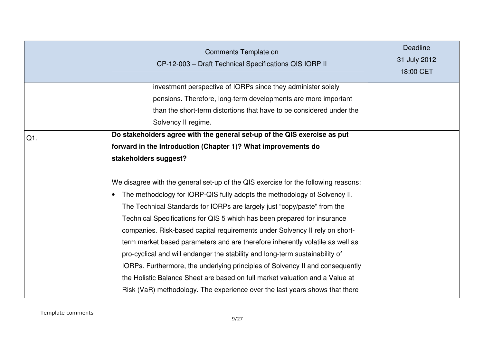|        | Comments Template on<br>CP-12-003 - Draft Technical Specifications QIS IORP II                                                                                                                                                                                                                                                                                                                                                                                                                                                                                                                                                                                                                                                                                                                                                                                                                                                                                                                | <b>Deadline</b><br>31 July 2012<br>18:00 CET |
|--------|-----------------------------------------------------------------------------------------------------------------------------------------------------------------------------------------------------------------------------------------------------------------------------------------------------------------------------------------------------------------------------------------------------------------------------------------------------------------------------------------------------------------------------------------------------------------------------------------------------------------------------------------------------------------------------------------------------------------------------------------------------------------------------------------------------------------------------------------------------------------------------------------------------------------------------------------------------------------------------------------------|----------------------------------------------|
|        | investment perspective of IORPs since they administer solely<br>pensions. Therefore, long-term developments are more important<br>than the short-term distortions that have to be considered under the<br>Solvency II regime.                                                                                                                                                                                                                                                                                                                                                                                                                                                                                                                                                                                                                                                                                                                                                                 |                                              |
| $Q1$ . | Do stakeholders agree with the general set-up of the QIS exercise as put<br>forward in the Introduction (Chapter 1)? What improvements do<br>stakeholders suggest?<br>We disagree with the general set-up of the QIS exercise for the following reasons:<br>The methodology for IORP-QIS fully adopts the methodology of Solvency II.<br>The Technical Standards for IORPs are largely just "copy/paste" from the<br>Technical Specifications for QIS 5 which has been prepared for insurance<br>companies. Risk-based capital requirements under Solvency II rely on short-<br>term market based parameters and are therefore inherently volatile as well as<br>pro-cyclical and will endanger the stability and long-term sustainability of<br>IORPs. Furthermore, the underlying principles of Solvency II and consequently<br>the Holistic Balance Sheet are based on full market valuation and a Value at<br>Risk (VaR) methodology. The experience over the last years shows that there |                                              |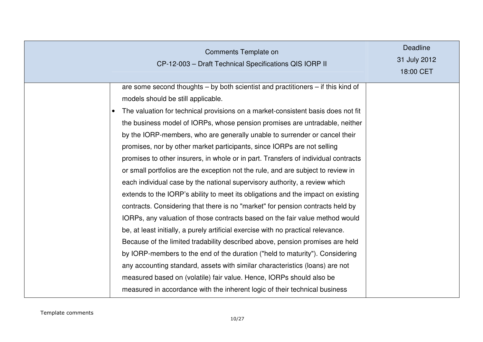|           | Comments Template on<br>CP-12-003 - Draft Technical Specifications QIS IORP II                                                                                                                                                                                                                                                                                                                                                                                                                                                                                                                                                                                                                                                                                                                                                                                                                                                                                                                                                                                                                                                                                                                                                                                                                                                                                                                                                                               | <b>Deadline</b><br>31 July 2012<br>18:00 CET |
|-----------|--------------------------------------------------------------------------------------------------------------------------------------------------------------------------------------------------------------------------------------------------------------------------------------------------------------------------------------------------------------------------------------------------------------------------------------------------------------------------------------------------------------------------------------------------------------------------------------------------------------------------------------------------------------------------------------------------------------------------------------------------------------------------------------------------------------------------------------------------------------------------------------------------------------------------------------------------------------------------------------------------------------------------------------------------------------------------------------------------------------------------------------------------------------------------------------------------------------------------------------------------------------------------------------------------------------------------------------------------------------------------------------------------------------------------------------------------------------|----------------------------------------------|
| $\bullet$ | are some second thoughts – by both scientist and practitioners – if this kind of<br>models should be still applicable.<br>The valuation for technical provisions on a market-consistent basis does not fit<br>the business model of IORPs, whose pension promises are untradable, neither<br>by the IORP-members, who are generally unable to surrender or cancel their<br>promises, nor by other market participants, since IORPs are not selling<br>promises to other insurers, in whole or in part. Transfers of individual contracts<br>or small portfolios are the exception not the rule, and are subject to review in<br>each individual case by the national supervisory authority, a review which<br>extends to the IORP's ability to meet its obligations and the impact on existing<br>contracts. Considering that there is no "market" for pension contracts held by<br>IORPs, any valuation of those contracts based on the fair value method would<br>be, at least initially, a purely artificial exercise with no practical relevance.<br>Because of the limited tradability described above, pension promises are held<br>by IORP-members to the end of the duration ("held to maturity"). Considering<br>any accounting standard, assets with similar characteristics (loans) are not<br>measured based on (volatile) fair value. Hence, IORPs should also be<br>measured in accordance with the inherent logic of their technical business |                                              |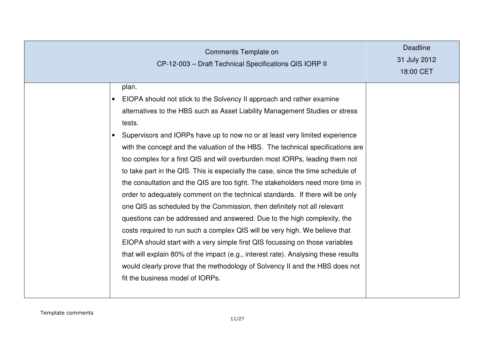|           | Comments Template on<br>CP-12-003 - Draft Technical Specifications QIS IORP II                                                                                                                                                                                                                                                                                                                                                                                                                                                                                                                                                                                                                                                                                                                                                                                                                                                                                                                                                                                                                                                                                                                                     | <b>Deadline</b><br>31 July 2012<br>18:00 CET |
|-----------|--------------------------------------------------------------------------------------------------------------------------------------------------------------------------------------------------------------------------------------------------------------------------------------------------------------------------------------------------------------------------------------------------------------------------------------------------------------------------------------------------------------------------------------------------------------------------------------------------------------------------------------------------------------------------------------------------------------------------------------------------------------------------------------------------------------------------------------------------------------------------------------------------------------------------------------------------------------------------------------------------------------------------------------------------------------------------------------------------------------------------------------------------------------------------------------------------------------------|----------------------------------------------|
| $\bullet$ | plan.<br>EIOPA should not stick to the Solvency II approach and rather examine<br>alternatives to the HBS such as Asset Liability Management Studies or stress<br>tests.<br>Supervisors and IORPs have up to now no or at least very limited experience<br>with the concept and the valuation of the HBS. The technical specifications are<br>too complex for a first QIS and will overburden most IORPs, leading them not<br>to take part in the QIS. This is especially the case, since the time schedule of<br>the consultation and the QIS are too tight. The stakeholders need more time in<br>order to adequately comment on the technical standards. If there will be only<br>one QIS as scheduled by the Commission, then definitely not all relevant<br>questions can be addressed and answered. Due to the high complexity, the<br>costs required to run such a complex QIS will be very high. We believe that<br>EIOPA should start with a very simple first QIS focussing on those variables<br>that will explain 80% of the impact (e.g., interest rate). Analysing these results<br>would clearly prove that the methodology of Solvency II and the HBS does not<br>fit the business model of IORPs. |                                              |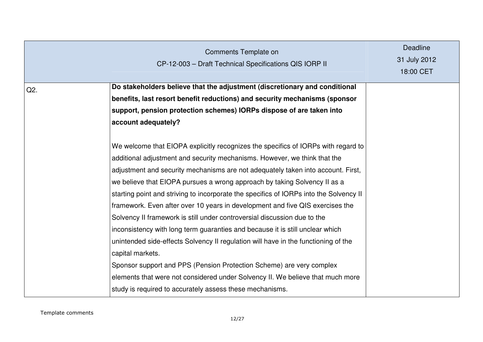|     | Comments Template on<br>CP-12-003 - Draft Technical Specifications QIS IORP II                                                                                                                                                                                                                                                                                                                                                                                                                                                                                                                                                                                                                                                                                                                                                                                                                                                                                                                          | <b>Deadline</b><br>31 July 2012<br>18:00 CET |
|-----|---------------------------------------------------------------------------------------------------------------------------------------------------------------------------------------------------------------------------------------------------------------------------------------------------------------------------------------------------------------------------------------------------------------------------------------------------------------------------------------------------------------------------------------------------------------------------------------------------------------------------------------------------------------------------------------------------------------------------------------------------------------------------------------------------------------------------------------------------------------------------------------------------------------------------------------------------------------------------------------------------------|----------------------------------------------|
| Q2. | Do stakeholders believe that the adjustment (discretionary and conditional<br>benefits, last resort benefit reductions) and security mechanisms (sponsor<br>support, pension protection schemes) IORPs dispose of are taken into<br>account adequately?                                                                                                                                                                                                                                                                                                                                                                                                                                                                                                                                                                                                                                                                                                                                                 |                                              |
|     | We welcome that EIOPA explicitly recognizes the specifics of IORPs with regard to<br>additional adjustment and security mechanisms. However, we think that the<br>adjustment and security mechanisms are not adequately taken into account. First,<br>we believe that EIOPA pursues a wrong approach by taking Solvency II as a<br>starting point and striving to incorporate the specifics of IORPs into the Solvency II<br>framework. Even after over 10 years in development and five QIS exercises the<br>Solvency II framework is still under controversial discussion due to the<br>inconsistency with long term guaranties and because it is still unclear which<br>unintended side-effects Solvency II regulation will have in the functioning of the<br>capital markets.<br>Sponsor support and PPS (Pension Protection Scheme) are very complex<br>elements that were not considered under Solvency II. We believe that much more<br>study is required to accurately assess these mechanisms. |                                              |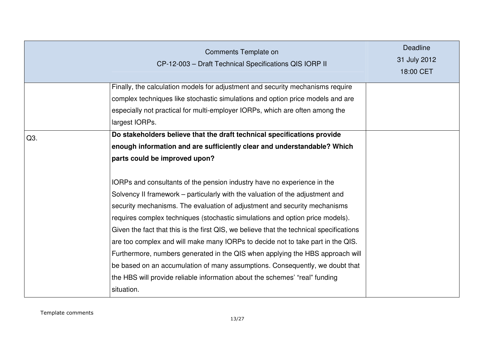|     | Comments Template on<br>CP-12-003 - Draft Technical Specifications QIS IORP II                                                                                   | <b>Deadline</b><br>31 July 2012<br>18:00 CET |
|-----|------------------------------------------------------------------------------------------------------------------------------------------------------------------|----------------------------------------------|
|     | Finally, the calculation models for adjustment and security mechanisms require<br>complex techniques like stochastic simulations and option price models and are |                                              |
|     | especially not practical for multi-employer IORPs, which are often among the<br>largest IORPs.                                                                   |                                              |
| Q3. | Do stakeholders believe that the draft technical specifications provide                                                                                          |                                              |
|     | enough information and are sufficiently clear and understandable? Which<br>parts could be improved upon?                                                         |                                              |
|     | IORPs and consultants of the pension industry have no experience in the                                                                                          |                                              |
|     | Solvency II framework – particularly with the valuation of the adjustment and                                                                                    |                                              |
|     | security mechanisms. The evaluation of adjustment and security mechanisms                                                                                        |                                              |
|     | requires complex techniques (stochastic simulations and option price models).                                                                                    |                                              |
|     | Given the fact that this is the first QIS, we believe that the technical specifications                                                                          |                                              |
|     | are too complex and will make many IORPs to decide not to take part in the QIS.                                                                                  |                                              |
|     | Furthermore, numbers generated in the QIS when applying the HBS approach will                                                                                    |                                              |
|     | be based on an accumulation of many assumptions. Consequently, we doubt that                                                                                     |                                              |
|     | the HBS will provide reliable information about the schemes' "real" funding                                                                                      |                                              |
|     | situation.                                                                                                                                                       |                                              |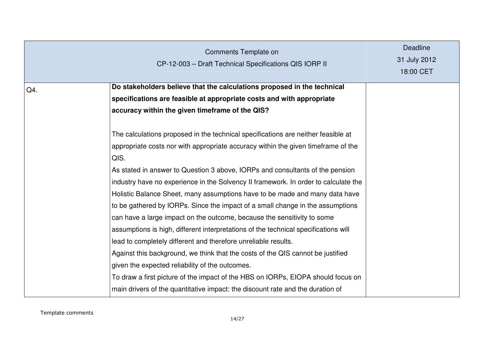|     | Comments Template on<br>CP-12-003 - Draft Technical Specifications QIS IORP II      | <b>Deadline</b><br>31 July 2012<br>18:00 CET |
|-----|-------------------------------------------------------------------------------------|----------------------------------------------|
| Q4. | Do stakeholders believe that the calculations proposed in the technical             |                                              |
|     | specifications are feasible at appropriate costs and with appropriate               |                                              |
|     | accuracy within the given timeframe of the QIS?                                     |                                              |
|     | The calculations proposed in the technical specifications are neither feasible at   |                                              |
|     | appropriate costs nor with appropriate accuracy within the given timeframe of the   |                                              |
|     | QIS.                                                                                |                                              |
|     | As stated in answer to Question 3 above, IORPs and consultants of the pension       |                                              |
|     | industry have no experience in the Solvency II framework. In order to calculate the |                                              |
|     | Holistic Balance Sheet, many assumptions have to be made and many data have         |                                              |
|     | to be gathered by IORPs. Since the impact of a small change in the assumptions      |                                              |
|     | can have a large impact on the outcome, because the sensitivity to some             |                                              |
|     | assumptions is high, different interpretations of the technical specifications will |                                              |
|     | lead to completely different and therefore unreliable results.                      |                                              |
|     | Against this background, we think that the costs of the QIS cannot be justified     |                                              |
|     | given the expected reliability of the outcomes.                                     |                                              |
|     | To draw a first picture of the impact of the HBS on IORPs, EIOPA should focus on    |                                              |
|     | main drivers of the quantitative impact: the discount rate and the duration of      |                                              |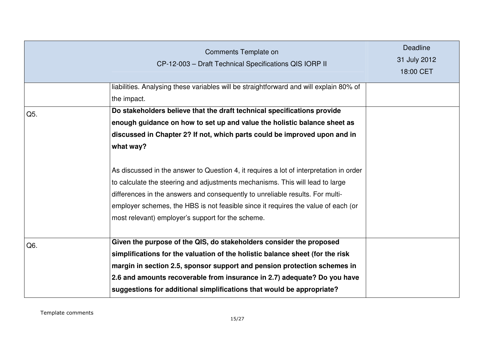|     | Comments Template on<br>CP-12-003 - Draft Technical Specifications QIS IORP II                                                                                                                                                                                                                                                                                                                     | <b>Deadline</b><br>31 July 2012<br>18:00 CET |
|-----|----------------------------------------------------------------------------------------------------------------------------------------------------------------------------------------------------------------------------------------------------------------------------------------------------------------------------------------------------------------------------------------------------|----------------------------------------------|
|     | liabilities. Analysing these variables will be straightforward and will explain 80% of                                                                                                                                                                                                                                                                                                             |                                              |
|     | the impact.                                                                                                                                                                                                                                                                                                                                                                                        |                                              |
| Q5. | Do stakeholders believe that the draft technical specifications provide                                                                                                                                                                                                                                                                                                                            |                                              |
|     | enough guidance on how to set up and value the holistic balance sheet as                                                                                                                                                                                                                                                                                                                           |                                              |
|     | discussed in Chapter 2? If not, which parts could be improved upon and in                                                                                                                                                                                                                                                                                                                          |                                              |
|     | what way?                                                                                                                                                                                                                                                                                                                                                                                          |                                              |
|     | As discussed in the answer to Question 4, it requires a lot of interpretation in order<br>to calculate the steering and adjustments mechanisms. This will lead to large<br>differences in the answers and consequently to unreliable results. For multi-<br>employer schemes, the HBS is not feasible since it requires the value of each (or<br>most relevant) employer's support for the scheme. |                                              |
| Q6. | Given the purpose of the QIS, do stakeholders consider the proposed<br>simplifications for the valuation of the holistic balance sheet (for the risk<br>margin in section 2.5, sponsor support and pension protection schemes in<br>2.6 and amounts recoverable from insurance in 2.7) adequate? Do you have                                                                                       |                                              |
|     | suggestions for additional simplifications that would be appropriate?                                                                                                                                                                                                                                                                                                                              |                                              |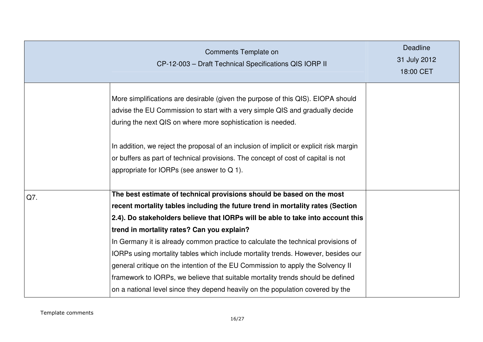|     | Comments Template on<br>CP-12-003 - Draft Technical Specifications QIS IORP II                                                                                                                                                   | <b>Deadline</b><br>31 July 2012<br>18:00 CET |
|-----|----------------------------------------------------------------------------------------------------------------------------------------------------------------------------------------------------------------------------------|----------------------------------------------|
|     | More simplifications are desirable (given the purpose of this QIS). EIOPA should<br>advise the EU Commission to start with a very simple QIS and gradually decide<br>during the next QIS on where more sophistication is needed. |                                              |
|     | In addition, we reject the proposal of an inclusion of implicit or explicit risk margin<br>or buffers as part of technical provisions. The concept of cost of capital is not<br>appropriate for IORPs (see answer to $Q$ 1).     |                                              |
| Q7. | The best estimate of technical provisions should be based on the most                                                                                                                                                            |                                              |
|     | recent mortality tables including the future trend in mortality rates (Section<br>2.4). Do stakeholders believe that IORPs will be able to take into account this                                                                |                                              |
|     | trend in mortality rates? Can you explain?                                                                                                                                                                                       |                                              |
|     | In Germany it is already common practice to calculate the technical provisions of                                                                                                                                                |                                              |
|     | IORPs using mortality tables which include mortality trends. However, besides our                                                                                                                                                |                                              |
|     | general critique on the intention of the EU Commission to apply the Solvency II                                                                                                                                                  |                                              |
|     | framework to IORPs, we believe that suitable mortality trends should be defined                                                                                                                                                  |                                              |
|     | on a national level since they depend heavily on the population covered by the                                                                                                                                                   |                                              |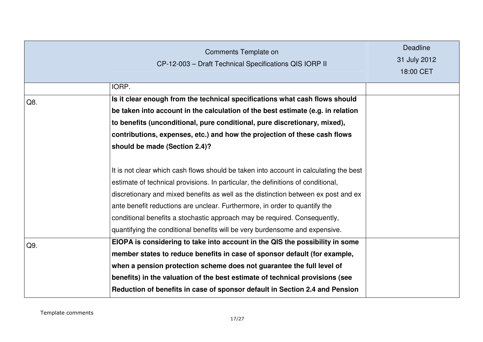|     | Comments Template on<br>CP-12-003 - Draft Technical Specifications QIS IORP II                                                                                                                                                                                                                                                                                                                                                                                                                            | Deadline<br>31 July 2012<br>18:00 CET |
|-----|-----------------------------------------------------------------------------------------------------------------------------------------------------------------------------------------------------------------------------------------------------------------------------------------------------------------------------------------------------------------------------------------------------------------------------------------------------------------------------------------------------------|---------------------------------------|
|     | IORP.                                                                                                                                                                                                                                                                                                                                                                                                                                                                                                     |                                       |
| Q8. | Is it clear enough from the technical specifications what cash flows should                                                                                                                                                                                                                                                                                                                                                                                                                               |                                       |
|     | be taken into account in the calculation of the best estimate (e.g. in relation                                                                                                                                                                                                                                                                                                                                                                                                                           |                                       |
|     | to benefits (unconditional, pure conditional, pure discretionary, mixed),                                                                                                                                                                                                                                                                                                                                                                                                                                 |                                       |
|     | contributions, expenses, etc.) and how the projection of these cash flows                                                                                                                                                                                                                                                                                                                                                                                                                                 |                                       |
|     | should be made (Section 2.4)?                                                                                                                                                                                                                                                                                                                                                                                                                                                                             |                                       |
|     | It is not clear which cash flows should be taken into account in calculating the best<br>estimate of technical provisions. In particular, the definitions of conditional,<br>discretionary and mixed benefits as well as the distinction between ex post and ex<br>ante benefit reductions are unclear. Furthermore, in order to quantify the<br>conditional benefits a stochastic approach may be required. Consequently,<br>quantifying the conditional benefits will be very burdensome and expensive. |                                       |
| Q9. | EIOPA is considering to take into account in the QIS the possibility in some                                                                                                                                                                                                                                                                                                                                                                                                                              |                                       |
|     | member states to reduce benefits in case of sponsor default (for example,                                                                                                                                                                                                                                                                                                                                                                                                                                 |                                       |
|     | when a pension protection scheme does not guarantee the full level of                                                                                                                                                                                                                                                                                                                                                                                                                                     |                                       |
|     | benefits) in the valuation of the best estimate of technical provisions (see                                                                                                                                                                                                                                                                                                                                                                                                                              |                                       |
|     | Reduction of benefits in case of sponsor default in Section 2.4 and Pension                                                                                                                                                                                                                                                                                                                                                                                                                               |                                       |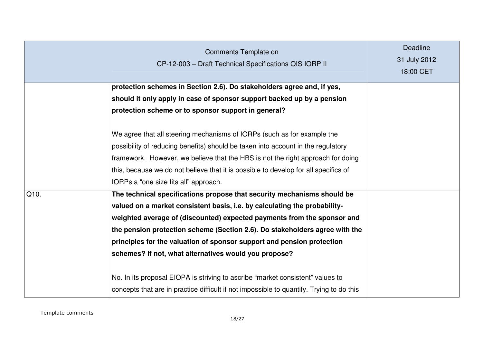|      | <b>Comments Template on</b><br>CP-12-003 - Draft Technical Specifications QIS IORP II                                                                                                                                                                                                                                                                                          | <b>Deadline</b><br>31 July 2012<br>18:00 CET |
|------|--------------------------------------------------------------------------------------------------------------------------------------------------------------------------------------------------------------------------------------------------------------------------------------------------------------------------------------------------------------------------------|----------------------------------------------|
|      | protection schemes in Section 2.6). Do stakeholders agree and, if yes,                                                                                                                                                                                                                                                                                                         |                                              |
|      | should it only apply in case of sponsor support backed up by a pension                                                                                                                                                                                                                                                                                                         |                                              |
|      | protection scheme or to sponsor support in general?                                                                                                                                                                                                                                                                                                                            |                                              |
|      | We agree that all steering mechanisms of IORPs (such as for example the<br>possibility of reducing benefits) should be taken into account in the regulatory<br>framework. However, we believe that the HBS is not the right approach for doing<br>this, because we do not believe that it is possible to develop for all specifics of<br>IORPs a "one size fits all" approach. |                                              |
| Q10. | The technical specifications propose that security mechanisms should be                                                                                                                                                                                                                                                                                                        |                                              |
|      | valued on a market consistent basis, i.e. by calculating the probability-<br>weighted average of (discounted) expected payments from the sponsor and<br>the pension protection scheme (Section 2.6). Do stakeholders agree with the<br>principles for the valuation of sponsor support and pension protection<br>schemes? If not, what alternatives would you propose?         |                                              |
|      | No. In its proposal EIOPA is striving to ascribe "market consistent" values to<br>concepts that are in practice difficult if not impossible to quantify. Trying to do this                                                                                                                                                                                                     |                                              |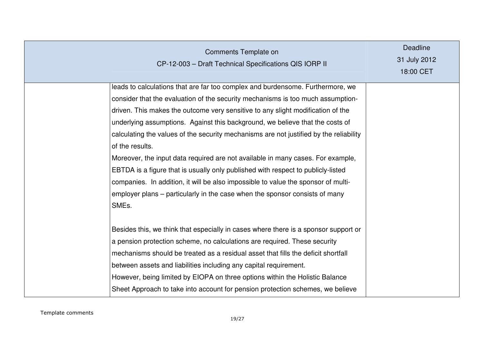| <b>Comments Template on</b><br>CP-12-003 - Draft Technical Specifications QIS IORP II                                                                                                                                                                                                                                                                                                                                                                                                                                                                                                                                                                                                                                                                                                                  | <b>Deadline</b><br>31 July 2012<br>18:00 CET |
|--------------------------------------------------------------------------------------------------------------------------------------------------------------------------------------------------------------------------------------------------------------------------------------------------------------------------------------------------------------------------------------------------------------------------------------------------------------------------------------------------------------------------------------------------------------------------------------------------------------------------------------------------------------------------------------------------------------------------------------------------------------------------------------------------------|----------------------------------------------|
| leads to calculations that are far too complex and burdensome. Furthermore, we<br>consider that the evaluation of the security mechanisms is too much assumption-<br>driven. This makes the outcome very sensitive to any slight modification of the<br>underlying assumptions. Against this background, we believe that the costs of<br>calculating the values of the security mechanisms are not justified by the reliability<br>of the results.<br>Moreover, the input data required are not available in many cases. For example,<br>EBTDA is a figure that is usually only published with respect to publicly-listed<br>companies. In addition, it will be also impossible to value the sponsor of multi-<br>employer plans – particularly in the case when the sponsor consists of many<br>SMEs. |                                              |
| Besides this, we think that especially in cases where there is a sponsor support or<br>a pension protection scheme, no calculations are required. These security<br>mechanisms should be treated as a residual asset that fills the deficit shortfall<br>between assets and liabilities including any capital requirement.<br>However, being limited by EIOPA on three options within the Holistic Balance<br>Sheet Approach to take into account for pension protection schemes, we believe                                                                                                                                                                                                                                                                                                           |                                              |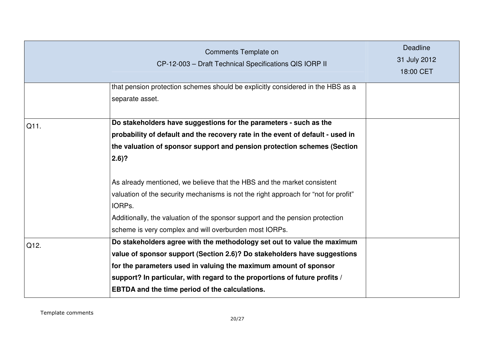|      | Comments Template on<br>CP-12-003 - Draft Technical Specifications QIS IORP II                                                                                                                                                                                                                                                                          | <b>Deadline</b><br>31 July 2012<br>18:00 CET |
|------|---------------------------------------------------------------------------------------------------------------------------------------------------------------------------------------------------------------------------------------------------------------------------------------------------------------------------------------------------------|----------------------------------------------|
|      | that pension protection schemes should be explicitly considered in the HBS as a<br>separate asset.                                                                                                                                                                                                                                                      |                                              |
| Q11. | Do stakeholders have suggestions for the parameters - such as the<br>probability of default and the recovery rate in the event of default - used in<br>the valuation of sponsor support and pension protection schemes (Section<br>$2.6$ ?                                                                                                              |                                              |
|      | As already mentioned, we believe that the HBS and the market consistent<br>valuation of the security mechanisms is not the right approach for "not for profit"<br>IORPs.<br>Additionally, the valuation of the sponsor support and the pension protection<br>scheme is very complex and will overburden most IORPs.                                     |                                              |
| Q12. | Do stakeholders agree with the methodology set out to value the maximum<br>value of sponsor support (Section 2.6)? Do stakeholders have suggestions<br>for the parameters used in valuing the maximum amount of sponsor<br>support? In particular, with regard to the proportions of future profits /<br>EBTDA and the time period of the calculations. |                                              |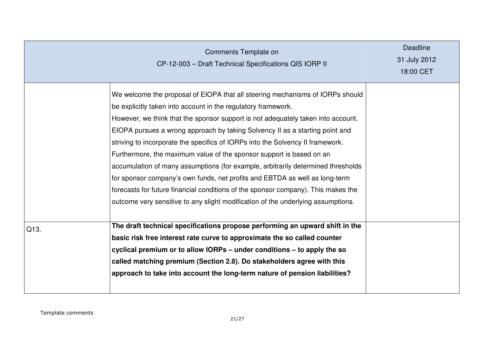|      | Comments Template on<br>CP-12-003 - Draft Technical Specifications QIS IORP II                                                                                                                                                                                                                                                                                                                                                                                                                                                                                                                                                                                                                                                                                                                                           | <b>Deadline</b><br>31 July 2012<br>18:00 CET |
|------|--------------------------------------------------------------------------------------------------------------------------------------------------------------------------------------------------------------------------------------------------------------------------------------------------------------------------------------------------------------------------------------------------------------------------------------------------------------------------------------------------------------------------------------------------------------------------------------------------------------------------------------------------------------------------------------------------------------------------------------------------------------------------------------------------------------------------|----------------------------------------------|
|      | We welcome the proposal of EIOPA that all steering mechanisms of IORPs should<br>be explicitly taken into account in the regulatory framework.<br>However, we think that the sponsor support is not adequately taken into account.<br>EIOPA pursues a wrong approach by taking Solvency II as a starting point and<br>striving to incorporate the specifics of IORPs into the Solvency II framework.<br>Furthermore, the maximum value of the sponsor support is based on an<br>accumulation of many assumptions (for example, arbitrarily determined thresholds<br>for sponsor company's own funds, net profits and EBTDA as well as long-term<br>forecasts for future financial conditions of the sponsor company). This makes the<br>outcome very sensitive to any slight modification of the underlying assumptions. |                                              |
| Q13. | The draft technical specifications propose performing an upward shift in the<br>basic risk free interest rate curve to approximate the so called counter<br>cyclical premium or to allow IORPs – under conditions – to apply the so<br>called matching premium (Section 2.8). Do stakeholders agree with this<br>approach to take into account the long-term nature of pension liabilities?                                                                                                                                                                                                                                                                                                                                                                                                                              |                                              |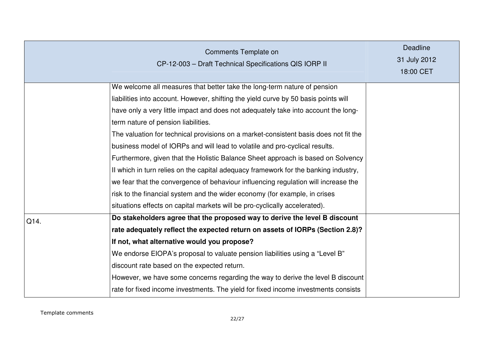|      | Comments Template on<br>CP-12-003 - Draft Technical Specifications QIS IORP II                                                                                                                                                                                                                                                                                                                                                                                                                                                                                                                                                                                                                                                                                                                                     | <b>Deadline</b><br>31 July 2012<br>18:00 CET |
|------|--------------------------------------------------------------------------------------------------------------------------------------------------------------------------------------------------------------------------------------------------------------------------------------------------------------------------------------------------------------------------------------------------------------------------------------------------------------------------------------------------------------------------------------------------------------------------------------------------------------------------------------------------------------------------------------------------------------------------------------------------------------------------------------------------------------------|----------------------------------------------|
|      | We welcome all measures that better take the long-term nature of pension<br>liabilities into account. However, shifting the yield curve by 50 basis points will<br>have only a very little impact and does not adequately take into account the long-<br>term nature of pension liabilities.<br>The valuation for technical provisions on a market-consistent basis does not fit the<br>business model of IORPs and will lead to volatile and pro-cyclical results.<br>Furthermore, given that the Holistic Balance Sheet approach is based on Solvency<br>If which in turn relies on the capital adequacy framework for the banking industry,<br>we fear that the convergence of behaviour influencing regulation will increase the<br>risk to the financial system and the wider economy (for example, in crises |                                              |
|      | situations effects on capital markets will be pro-cyclically accelerated).                                                                                                                                                                                                                                                                                                                                                                                                                                                                                                                                                                                                                                                                                                                                         |                                              |
| Q14. | Do stakeholders agree that the proposed way to derive the level B discount<br>rate adequately reflect the expected return on assets of IORPs (Section 2.8)?<br>If not, what alternative would you propose?<br>We endorse EIOPA's proposal to valuate pension liabilities using a "Level B"<br>discount rate based on the expected return.<br>However, we have some concerns regarding the way to derive the level B discount<br>rate for fixed income investments. The yield for fixed income investments consists                                                                                                                                                                                                                                                                                                 |                                              |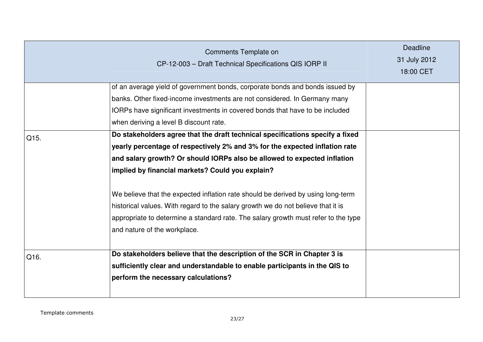|      | Comments Template on<br>CP-12-003 - Draft Technical Specifications QIS IORP II                                                                                                                                                                                                                                                                                                                                                                                                                                                                                                             | <b>Deadline</b><br>31 July 2012<br>18:00 CET |
|------|--------------------------------------------------------------------------------------------------------------------------------------------------------------------------------------------------------------------------------------------------------------------------------------------------------------------------------------------------------------------------------------------------------------------------------------------------------------------------------------------------------------------------------------------------------------------------------------------|----------------------------------------------|
|      | of an average yield of government bonds, corporate bonds and bonds issued by<br>banks. Other fixed-income investments are not considered. In Germany many<br>IORPs have significant investments in covered bonds that have to be included<br>when deriving a level B discount rate.                                                                                                                                                                                                                                                                                                        |                                              |
| Q15. | Do stakeholders agree that the draft technical specifications specify a fixed<br>yearly percentage of respectively 2% and 3% for the expected inflation rate<br>and salary growth? Or should IORPs also be allowed to expected inflation<br>implied by financial markets? Could you explain?<br>We believe that the expected inflation rate should be derived by using long-term<br>historical values. With regard to the salary growth we do not believe that it is<br>appropriate to determine a standard rate. The salary growth must refer to the type<br>and nature of the workplace. |                                              |
| Q16. | Do stakeholders believe that the description of the SCR in Chapter 3 is<br>sufficiently clear and understandable to enable participants in the QIS to<br>perform the necessary calculations?                                                                                                                                                                                                                                                                                                                                                                                               |                                              |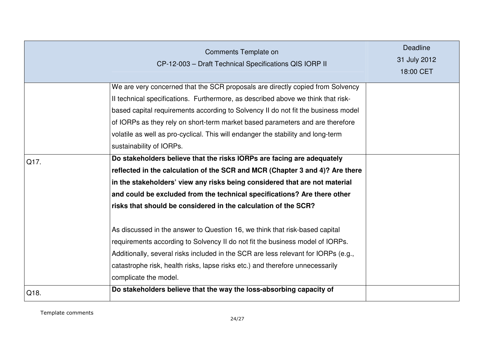|      | Comments Template on<br>CP-12-003 - Draft Technical Specifications QIS IORP II                                                                                                                                                                                                                                                                                                                                                                                                                                                                                                                                                                                                                                                                     | <b>Deadline</b><br>31 July 2012<br>18:00 CET |
|------|----------------------------------------------------------------------------------------------------------------------------------------------------------------------------------------------------------------------------------------------------------------------------------------------------------------------------------------------------------------------------------------------------------------------------------------------------------------------------------------------------------------------------------------------------------------------------------------------------------------------------------------------------------------------------------------------------------------------------------------------------|----------------------------------------------|
|      | We are very concerned that the SCR proposals are directly copied from Solvency<br>Il technical specifications. Furthermore, as described above we think that risk-<br>based capital requirements according to Solvency II do not fit the business model<br>of IORPs as they rely on short-term market based parameters and are therefore<br>volatile as well as pro-cyclical. This will endanger the stability and long-term<br>sustainability of IORPs.                                                                                                                                                                                                                                                                                           |                                              |
| Q17. | Do stakeholders believe that the risks IORPs are facing are adequately<br>reflected in the calculation of the SCR and MCR (Chapter 3 and 4)? Are there<br>in the stakeholders' view any risks being considered that are not material<br>and could be excluded from the technical specifications? Are there other<br>risks that should be considered in the calculation of the SCR?<br>As discussed in the answer to Question 16, we think that risk-based capital<br>requirements according to Solvency II do not fit the business model of IORPs.<br>Additionally, several risks included in the SCR are less relevant for IORPs (e.g.,<br>catastrophe risk, health risks, lapse risks etc.) and therefore unnecessarily<br>complicate the model. |                                              |
| Q18. | Do stakeholders believe that the way the loss-absorbing capacity of                                                                                                                                                                                                                                                                                                                                                                                                                                                                                                                                                                                                                                                                                |                                              |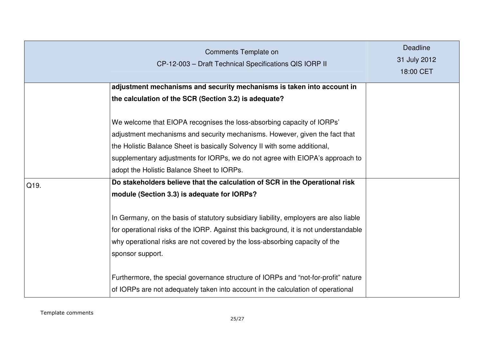|      | Comments Template on<br>CP-12-003 - Draft Technical Specifications QIS IORP II                                                                                                                                                                                                                                                                                                                                                                                                                  | <b>Deadline</b><br>31 July 2012<br>18:00 CET |
|------|-------------------------------------------------------------------------------------------------------------------------------------------------------------------------------------------------------------------------------------------------------------------------------------------------------------------------------------------------------------------------------------------------------------------------------------------------------------------------------------------------|----------------------------------------------|
|      | adjustment mechanisms and security mechanisms is taken into account in<br>the calculation of the SCR (Section 3.2) is adequate?                                                                                                                                                                                                                                                                                                                                                                 |                                              |
| Q19. | We welcome that EIOPA recognises the loss-absorbing capacity of IORPs'<br>adjustment mechanisms and security mechanisms. However, given the fact that<br>the Holistic Balance Sheet is basically Solvency II with some additional,<br>supplementary adjustments for IORPs, we do not agree with EIOPA's approach to<br>adopt the Holistic Balance Sheet to IORPs.<br>Do stakeholders believe that the calculation of SCR in the Operational risk<br>module (Section 3.3) is adequate for IORPs? |                                              |
|      | In Germany, on the basis of statutory subsidiary liability, employers are also liable<br>for operational risks of the IORP. Against this background, it is not understandable<br>why operational risks are not covered by the loss-absorbing capacity of the<br>sponsor support.<br>Furthermore, the special governance structure of IORPs and "not-for-profit" nature<br>of IORPs are not adequately taken into account in the calculation of operational                                      |                                              |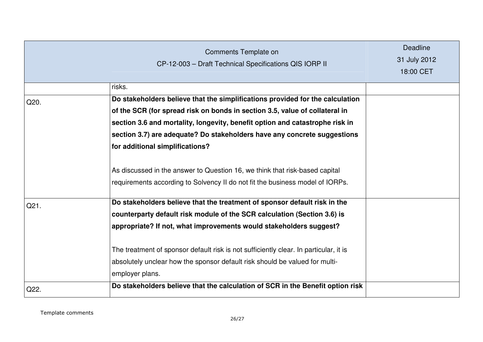|      | Comments Template on<br>CP-12-003 - Draft Technical Specifications QIS IORP II        | <b>Deadline</b><br>31 July 2012<br>18:00 CET |
|------|---------------------------------------------------------------------------------------|----------------------------------------------|
|      | risks.                                                                                |                                              |
| Q20. | Do stakeholders believe that the simplifications provided for the calculation         |                                              |
|      | of the SCR (for spread risk on bonds in section 3.5, value of collateral in           |                                              |
|      | section 3.6 and mortality, longevity, benefit option and catastrophe risk in          |                                              |
|      | section 3.7) are adequate? Do stakeholders have any concrete suggestions              |                                              |
|      | for additional simplifications?                                                       |                                              |
|      | As discussed in the answer to Question 16, we think that risk-based capital           |                                              |
|      | requirements according to Solvency II do not fit the business model of IORPs.         |                                              |
| Q21. | Do stakeholders believe that the treatment of sponsor default risk in the             |                                              |
|      | counterparty default risk module of the SCR calculation (Section 3.6) is              |                                              |
|      | appropriate? If not, what improvements would stakeholders suggest?                    |                                              |
|      | The treatment of sponsor default risk is not sufficiently clear. In particular, it is |                                              |
|      | absolutely unclear how the sponsor default risk should be valued for multi-           |                                              |
|      | employer plans.                                                                       |                                              |
| Q22. | Do stakeholders believe that the calculation of SCR in the Benefit option risk        |                                              |